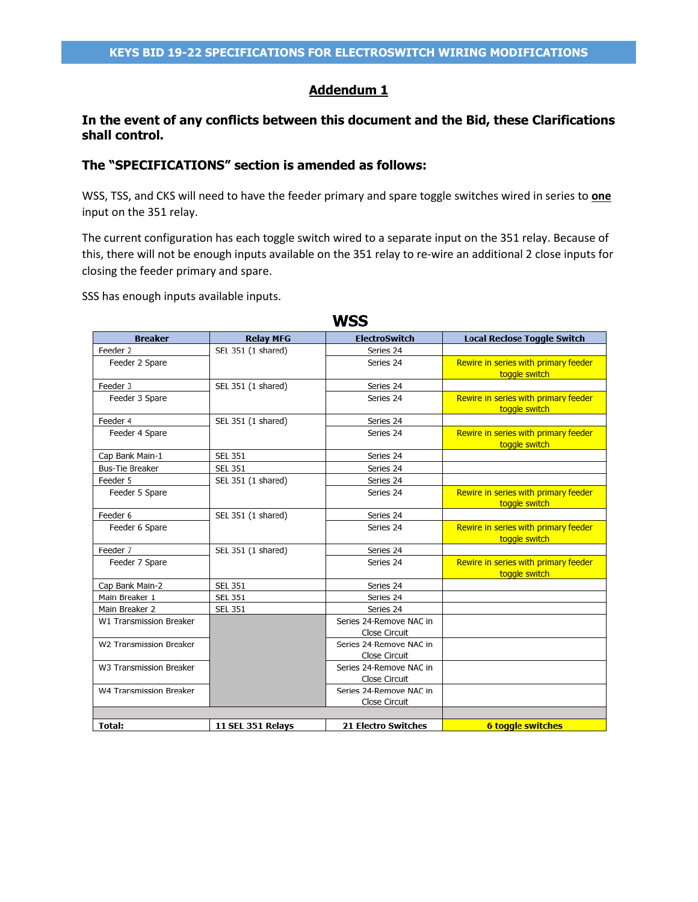### **Addendum 1**

### **In the event of any conflicts between this document and the Bid, these Clarifications shall control.**

### **The "SPECIFICATIONS" section is amended as follows:**

WSS, TSS, and CKS will need to have the feeder primary and spare toggle switches wired in series to **one** input on the 351 relay.

The current configuration has each toggle switch wired to a separate input on the 351 relay. Because of this, there will not be enough inputs available on the 351 relay to re-wire an additional 2 close inputs for closing the feeder primary and spare.

SSS has enough inputs available inputs.

| <b>Breaker</b>          | <b>Relay MFG</b>   | <b>ElectroSwitch</b>                     | <b>Local Reclose Toggle Switch</b>                    |
|-------------------------|--------------------|------------------------------------------|-------------------------------------------------------|
| Feeder 2                | SEL 351 (1 shared) | Series 24                                |                                                       |
| Feeder 2 Spare          |                    | Series 24                                | Rewire in series with primary feeder<br>toggle switch |
| Feeder 3                | SEL 351 (1 shared) | Series 24                                |                                                       |
| Feeder 3 Spare          |                    | Series 24                                | Rewire in series with primary feeder<br>toggle switch |
| Feeder 4                | SEL 351 (1 shared) | Series 24                                |                                                       |
| Feeder 4 Spare          |                    | Series 24                                | Rewire in series with primary feeder<br>toggle switch |
| Cap Bank Main-1         | <b>SEL 351</b>     | Series 24                                |                                                       |
| <b>Bus-Tie Breaker</b>  | <b>SEL 351</b>     | Series 24                                |                                                       |
| Feeder 5                | SEL 351 (1 shared) | Series 24                                |                                                       |
| Feeder 5 Spare          |                    | Series 24                                | Rewire in series with primary feeder<br>toggle switch |
| Feeder 6                | SEL 351 (1 shared) | Series 24                                |                                                       |
| Feeder 6 Spare          |                    | Series 24                                | Rewire in series with primary feeder<br>toggle switch |
| Feeder 7                | SEL 351 (1 shared) | Series 24                                |                                                       |
| Feeder 7 Spare          |                    | Series 24                                | Rewire in series with primary feeder<br>toggle switch |
| Cap Bank Main-2         | <b>SEL 351</b>     | Series 24                                |                                                       |
| Main Breaker 1          | <b>SEL 351</b>     | Series 24                                |                                                       |
| Main Breaker 2          | <b>SEL 351</b>     | Series 24                                |                                                       |
| W1 Transmission Breaker |                    | Series 24-Remove NAC in                  |                                                       |
|                         |                    | Close Circuit                            |                                                       |
| W2 Transmission Breaker |                    | Series 24-Remove NAC in                  |                                                       |
|                         |                    | Close Circuit                            |                                                       |
| W3 Transmission Breaker |                    | Series 24-Remove NAC in                  |                                                       |
|                         |                    | Close Circuit                            |                                                       |
| W4 Transmission Breaker |                    | Series 24-Remove NAC in<br>Close Circuit |                                                       |
|                         |                    |                                          |                                                       |
| <b>Total:</b>           | 11 SEL 351 Relavs  | <b>21 Electro Switches</b>               | <b>6 toggle switches</b>                              |

### **WSS**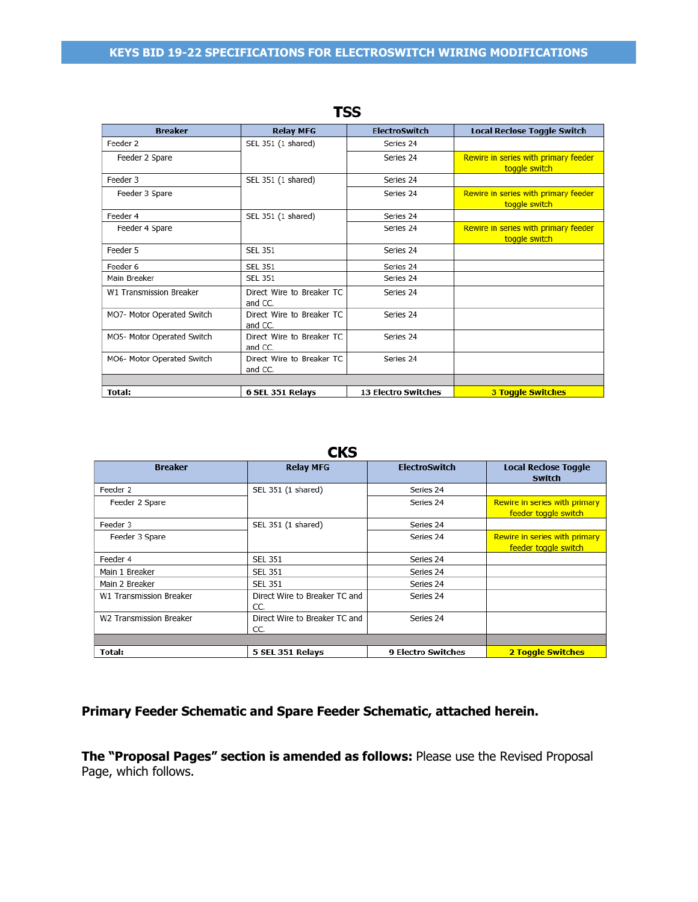#### **KEYS BID 19-22 SPECIFICATIONS FOR ELECTROSWITCH WIRING MODIFICATIONS**

| <b>Breaker</b>             | <b>Relay MFG</b>                     | <b>ElectroSwitch</b>       | <b>Local Reclose Toggle Switch</b>                    |
|----------------------------|--------------------------------------|----------------------------|-------------------------------------------------------|
| Feeder 2                   | SEL 351 (1 shared)                   | Series 24                  |                                                       |
| Feeder 2 Spare             |                                      | Series 24                  | Rewire in series with primary feeder<br>toggle switch |
| Feeder 3                   | SEL 351 (1 shared)                   | Series 24                  |                                                       |
| Feeder 3 Spare             |                                      | Series 24                  | Rewire in series with primary feeder<br>toggle switch |
| Feeder 4                   | SEL 351 (1 shared)                   | Series 24                  |                                                       |
| Feeder 4 Spare             |                                      | Series 24                  | Rewire in series with primary feeder<br>toggle switch |
| Feeder 5                   | <b>SEL 351</b>                       | Series 24                  |                                                       |
| Feeder 6                   | <b>SEL 351</b>                       | Series 24                  |                                                       |
| Main Breaker               | <b>SEL 351</b>                       | Series 24                  |                                                       |
| W1 Transmission Breaker    | Direct Wire to Breaker TC<br>and CC. | Series 24                  |                                                       |
| MO7- Motor Operated Switch | Direct Wire to Breaker TC<br>and CC. | Series 24                  |                                                       |
| MO5- Motor Operated Switch | Direct Wire to Breaker TC<br>and CC. | Series 24                  |                                                       |
| MO6- Motor Operated Switch | Direct Wire to Breaker TC<br>and CC. | Series 24                  |                                                       |
|                            |                                      |                            |                                                       |
| Total:                     | 6 SEL 351 Relays                     | <b>13 Electro Switches</b> | <b>3 Toggle Switches</b>                              |

### **TSS**

#### **CKS**

| <b>Breaker</b>          | <b>Relay MFG</b>                     | <b>ElectroSwitch</b>      | <b>Local Reclose Toggle</b><br><b>Switch</b>          |
|-------------------------|--------------------------------------|---------------------------|-------------------------------------------------------|
| Feeder 2                | SEL 351 (1 shared)                   | Series 24                 |                                                       |
| Feeder 2 Spare          |                                      | Series 24                 | Rewire in series with primary<br>feeder toggle switch |
| Feeder 3                | SEL 351 (1 shared)                   | Series 24                 |                                                       |
| Feeder 3 Spare          |                                      | Series 24                 | Rewire in series with primary<br>feeder toggle switch |
| Feeder 4                | <b>SEL 351</b>                       | Series 24                 |                                                       |
| Main 1 Breaker          | <b>SEL 351</b>                       | Series 24                 |                                                       |
| Main 2 Breaker          | <b>SEL 351</b>                       | Series 24                 |                                                       |
| W1 Transmission Breaker | Direct Wire to Breaker TC and<br>CC. | Series 24                 |                                                       |
| W2 Transmission Breaker | Direct Wire to Breaker TC and<br>CC. | Series 24                 |                                                       |
|                         |                                      |                           |                                                       |
| Total:                  | 5 SEL 351 Relays                     | <b>9 Electro Switches</b> | <b>2 Toggle Switches</b>                              |

## **Primary Feeder Schematic and Spare Feeder Schematic, attached herein.**

**The "Proposal Pages" section is amended as follows:** Please use the Revised Proposal Page, which follows.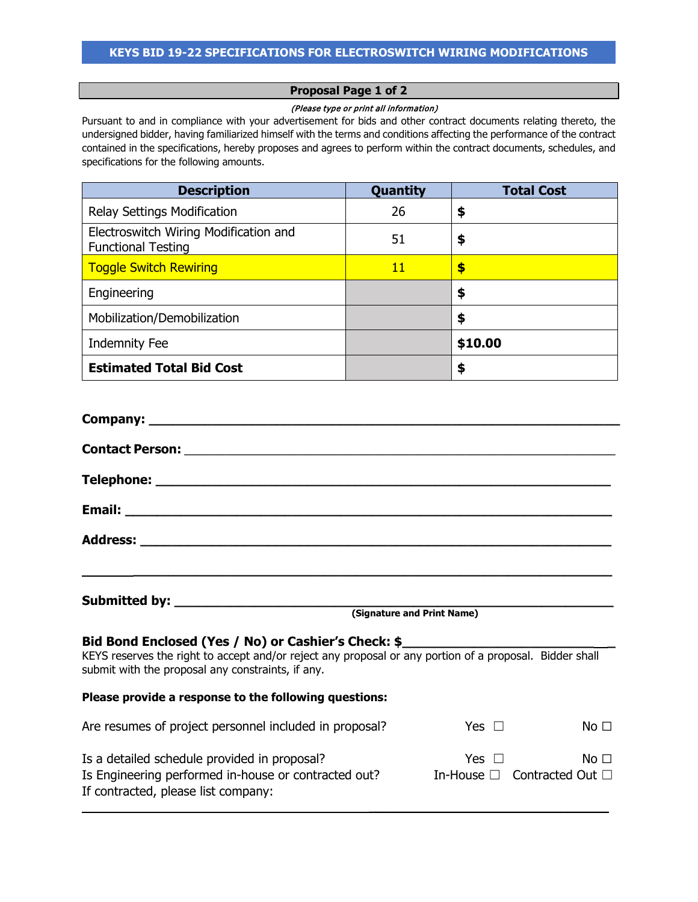# **Proposal Page 1 of 2**

#### (Please type or print all information)

Pursuant to and in compliance with your advertisement for bids and other contract documents relating thereto, the undersigned bidder, having familiarized himself with the terms and conditions affecting the performance of the contract contained in the specifications, hereby proposes and agrees to perform within the contract documents, schedules, and specifications for the following amounts.

| <b>Description</b>                                                 | Quantity | <b>Total Cost</b> |
|--------------------------------------------------------------------|----------|-------------------|
| Relay Settings Modification                                        | 26       | \$                |
| Electroswitch Wiring Modification and<br><b>Functional Testing</b> | 51       | \$                |
| <b>Toggle Switch Rewiring</b>                                      | 11       | \$                |
| Engineering                                                        |          | \$                |
| Mobilization/Demobilization                                        |          | \$                |
| <b>Indemnity Fee</b>                                               |          | \$10.00           |
| <b>Estimated Total Bid Cost</b>                                    |          | \$                |

| <u> 1989 - Jan James James James James James James James James James James James James James James James James J</u>                                                                                                |            |                               |
|---------------------------------------------------------------------------------------------------------------------------------------------------------------------------------------------------------------------|------------|-------------------------------|
|                                                                                                                                                                                                                     |            |                               |
|                                                                                                                                                                                                                     |            |                               |
| Bid Bond Enclosed (Yes / No) or Cashier's Check: \$<br>KEYS reserves the right to accept and/or reject any proposal or any portion of a proposal. Bidder shall<br>submit with the proposal any constraints, if any. |            |                               |
| Please provide a response to the following questions:                                                                                                                                                               |            |                               |
| Are resumes of project personnel included in proposal?                                                                                                                                                              | Yes $\Box$ | No <sub>1</sub>               |
| Is a detailed schedule provided in proposal?<br>Is Engineering performed in-house or contracted out? In-House $\Box$ Contracted Out $\Box$<br>If contracted, please list company:                                   |            | Yes $\Box$<br>No <sub>1</sub> |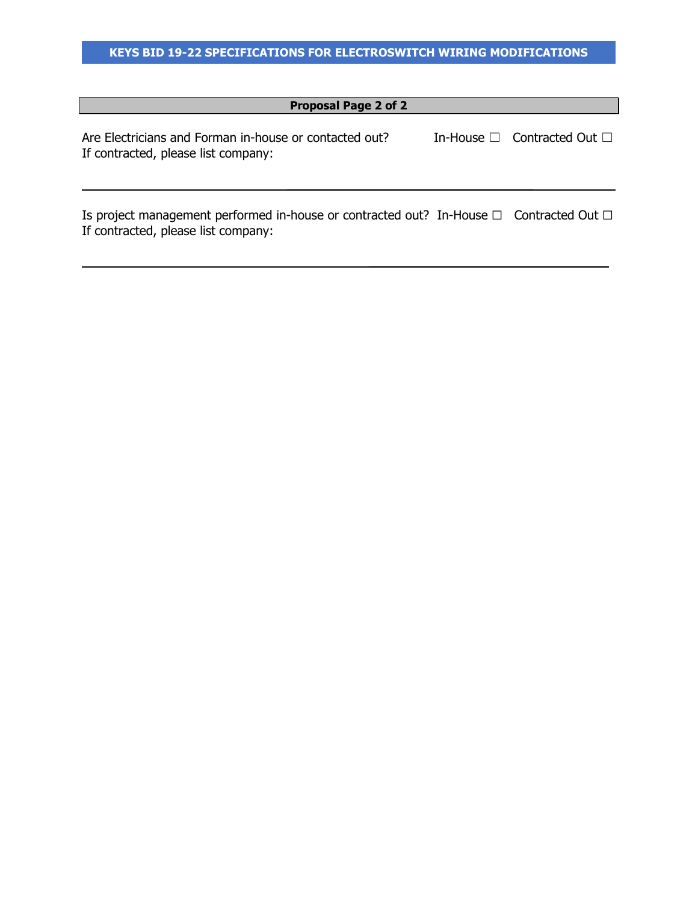## **Proposal Page 2 of 2**

Are Electricians and Forman in-house or contacted out? In-House □ Contracted Out □ If contracted, please list company:

Is project management performed in-house or contracted out? In-House □ Contracted Out □ If contracted, please list company:

 $\mathcal{L}=\{1,2,3,4,5\}$ 

 $\mathcal{L}=\{1,2,3,4,5\}$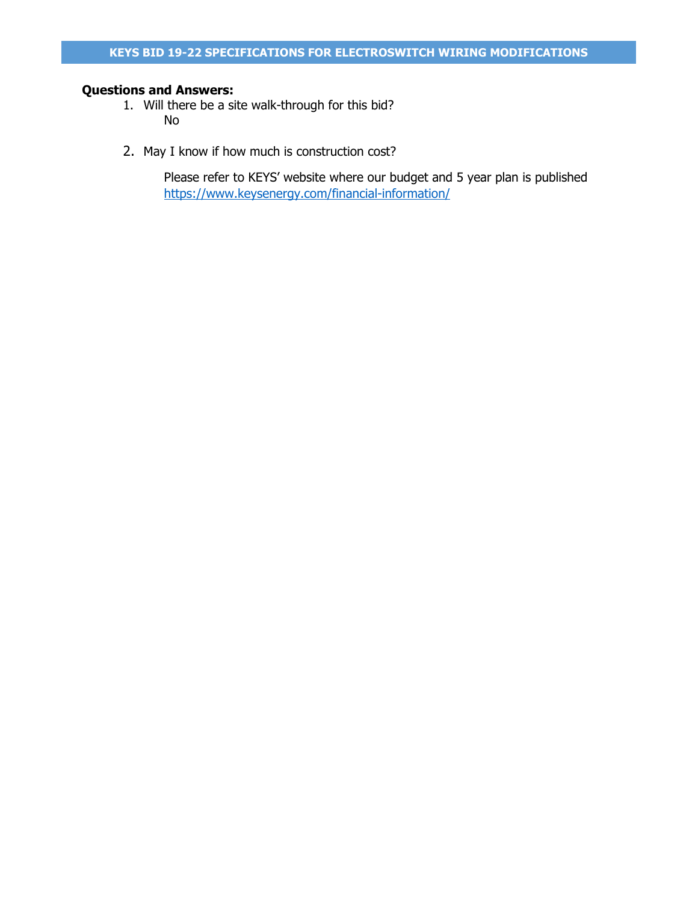## **Questions and Answers:**

- 1. Will there be a site walk-through for this bid? No
- 2. May I know if how much is construction cost?

Please refer to KEYS' website where our budget and 5 year plan is published <https://www.keysenergy.com/financial-information/>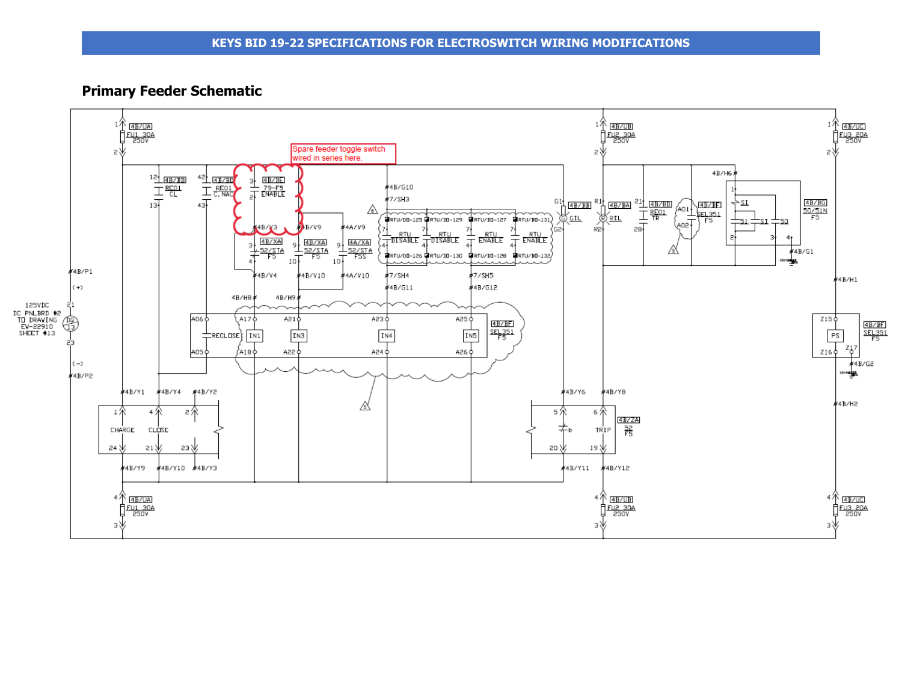### **Primary Feeder Schematic**